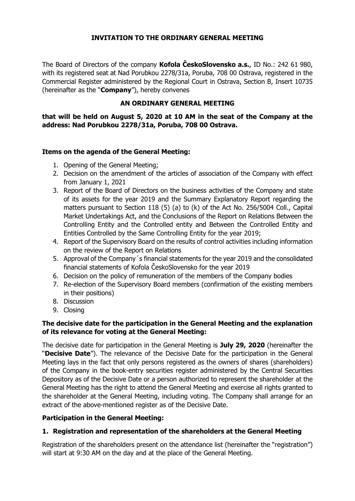### **INVITATION TO THE ORDINARY GENERAL MEETING**

The Board of Directors of the company **Kofola ČeskoSlovensko a.s.**, ID No.: 242 61 980, with its registered seat at Nad Porubkou 2278/31a, Poruba, 708 00 Ostrava, registered in the Commercial Register administered by the Regional Court in Ostrava, Section B, Insert 10735 (hereinafter as the "**Company**"), hereby convenes

## **AN ORDINARY GENERAL MEETING**

**that will be held on August 5, 2020 at 10 AM in the seat of the Company at the address: Nad Porubkou 2278/31a, Poruba, 708 00 Ostrava.** 

### **Items on the agenda of the General Meeting:**

- 1. Opening of the General Meeting;
- 2. Decision on the amendment of the articles of association of the Company with effect from January 1, 2021
- 3. Report of the Board of Directors on the business activities of the Company and state of its assets for the year 2019 and the Summary Explanatory Report regarding the matters pursuant to Section 118 (5) (a) to (k) of the Act No. 256/5004 Coll., Capital Market Undertakings Act, and the Conclusions of the Report on Relations Between the Controlling Entity and the Controlled entity and Between the Controlled Entity and Entities Controlled by the Same Controlling Entity for the year 2019;
- 4. Report of the Supervisory Board on the results of control activities including information on the review of the Report on Relations
- 5. Approval of the Company´s financial statements for the year 2019 and the consolidated financial statements of Kofola ČeskoSlovensko for the year 2019
- 6. Decision on the policy of remuneration of the members of the Company bodies
- 7. Re-election of the Supervisory Board members (confirmation of the existing members in their positions)
- 8. Discussion
- 9. Closing

## **The decisive date for the participation in the General Meeting and the explanation of its relevance for voting at the General Meeting:**

The decisive date for participation in the General Meeting is **July 29, 2020** (hereinafter the "**Decisive Date**"). The relevance of the Decisive Date for the participation in the General Meeting lays in the fact that only persons registered as the owners of shares (shareholders) of the Company in the book-entry securities register administered by the Central Securities Depository as of the Decisive Date or a person authorized to represent the shareholder at the General Meeting has the right to attend the General Meeting and exercise all rights granted to the shareholder at the General Meeting, including voting. The Company shall arrange for an extract of the above-mentioned register as of the Decisive Date.

### **Participation in the General Meeting:**

# **1. Registration and representation of the shareholders at the General Meeting**

Registration of the shareholders present on the attendance list (hereinafter the "registration") will start at 9:30 AM on the day and at the place of the General Meeting.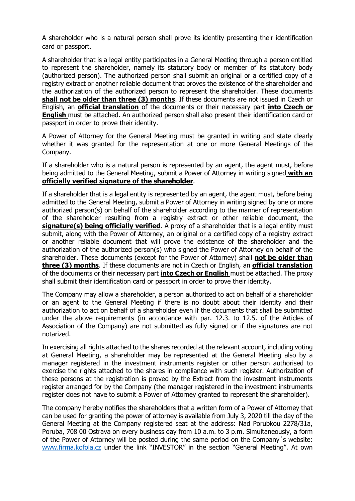A shareholder who is a natural person shall prove its identity presenting their identification card or passport.

A shareholder that is a legal entity participates in a General Meeting through a person entitled to represent the shareholder, namely its statutory body or member of its statutory body (authorized person). The authorized person shall submit an original or a certified copy of a registry extract or another reliable document that proves the existence of the shareholder and the authorization of the authorized person to represent the shareholder. These documents **shall not be older than three (3) months**. If these documents are not issued in Czech or English, an **official translation** of the documents or their necessary part **into Czech or English** must be attached. An authorized person shall also present their identification card or passport in order to prove their identity.

A Power of Attorney for the General Meeting must be granted in writing and state clearly whether it was granted for the representation at one or more General Meetings of the Company.

If a shareholder who is a natural person is represented by an agent, the agent must, before being admitted to the General Meeting, submit a Power of Attorney in writing signed **with an officially verified signature of the shareholder**.

If a shareholder that is a legal entity is represented by an agent, the agent must, before being admitted to the General Meeting, submit a Power of Attorney in writing signed by one or more authorized person(s) on behalf of the shareholder according to the manner of representation of the shareholder resulting from a registry extract or other reliable document, the **signature(s) being officially verified**. A proxy of a shareholder that is a legal entity must submit, along with the Power of Attorney, an original or a certified copy of a registry extract or another reliable document that will prove the existence of the shareholder and the authorization of the authorized person(s) who signed the Power of Attorney on behalf of the shareholder. These documents (except for the Power of Attorney) shall **not be older than three (3) months**. If these documents are not in Czech or English, an **official translation** of the documents or their necessary part **into Czech or English** must be attached. The proxy shall submit their identification card or passport in order to prove their identity.

The Company may allow a shareholder, a person authorized to act on behalf of a shareholder or an agent to the General Meeting if there is no doubt about their identity and their authorization to act on behalf of a shareholder even if the documents that shall be submitted under the above requirements (in accordance with par. 12.3. to 12.5. of the Articles of Association of the Company) are not submitted as fully signed or if the signatures are not notarized.

In exercising all rights attached to the shares recorded at the relevant account, including voting at General Meeting, a shareholder may be represented at the General Meeting also by a manager registered in the investment instruments register or other person authorised to exercise the rights attached to the shares in compliance with such register. Authorization of these persons at the registration is proved by the Extract from the investment instruments register arranged for by the Company (the manager registered in the investment instruments register does not have to submit a Power of Attorney granted to represent the shareholder).

The company hereby notifies the shareholders that a written form of a Power of Attorney that can be used for granting the power of attorney is available from July 3, 2020 till the day of the General Meeting at the Company registered seat at the address: Nad Porubkou 2278/31a, Poruba, 708 00 Ostrava on every business day from 10 a.m. to 3 p.m. Simultaneously, a form of the Power of Attorney will be posted during the same period on the Company´s website: [www.firma.kofola.cz](http://www.firma.kofola.cz/) under the link "INVESTOR" in the section "General Meeting". At own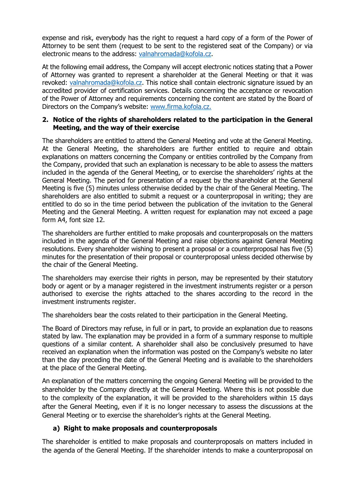expense and risk, everybody has the right to request a hard copy of a form of the Power of Attorney to be sent them (request to be sent to the registered seat of the Company) or via electronic means to the address: [valnahromada@kofola.cz.](mailto:valnahromada@kofola.cz)

At the following email address, the Company will accept electronic notices stating that a Power of Attorney was granted to represent a shareholder at the General Meeting or that it was revoked: [valnahromada@kofola.cz.](mailto:valnahromada@kofola.cz) This notice shall contain electronic signature issued by an accredited provider of certification services. Details concerning the acceptance or revocation of the Power of Attorney and requirements concerning the content are stated by the Board of Directors on the Company's website: [www.firma.kofola.cz.](http://www.firma.kofola.cz/)

### **2. Notice of the rights of shareholders related to the participation in the General Meeting, and the way of their exercise**

The shareholders are entitled to attend the General Meeting and vote at the General Meeting. At the General Meeting, the shareholders are further entitled to require and obtain explanations on matters concerning the Company or entities controlled by the Company from the Company, provided that such an explanation is necessary to be able to assess the matters included in the agenda of the General Meeting, or to exercise the shareholders' rights at the General Meeting. The period for presentation of a request by the shareholder at the General Meeting is five (5) minutes unless otherwise decided by the chair of the General Meeting. The shareholders are also entitled to submit a request or a counterproposal in writing; they are entitled to do so in the time period between the publication of the invitation to the General Meeting and the General Meeting. A written request for explanation may not exceed a page form A4, font size 12.

The shareholders are further entitled to make proposals and counterproposals on the matters included in the agenda of the General Meeting and raise objections against General Meeting resolutions. Every shareholder wishing to present a proposal or a counterproposal has five (5) minutes for the presentation of their proposal or counterproposal unless decided otherwise by the chair of the General Meeting.

The shareholders may exercise their rights in person, may be represented by their statutory body or agent or by a manager registered in the investment instruments register or a person authorised to exercise the rights attached to the shares according to the record in the investment instruments register.

The shareholders bear the costs related to their participation in the General Meeting.

The Board of Directors may refuse, in full or in part, to provide an explanation due to reasons stated by law. The explanation may be provided in a form of a summary response to multiple questions of a similar content. A shareholder shall also be conclusively presumed to have received an explanation when the information was posted on the Company's website no later than the day preceding the date of the General Meeting and is available to the shareholders at the place of the General Meeting.

An explanation of the matters concerning the ongoing General Meeting will be provided to the shareholder by the Company directly at the General Meeting. Where this is not possible due to the complexity of the explanation, it will be provided to the shareholders within 15 days after the General Meeting, even if it is no longer necessary to assess the discussions at the General Meeting or to exercise the shareholder's rights at the General Meeting.

### **a) Right to make proposals and counterproposals**

The shareholder is entitled to make proposals and counterproposals on matters included in the agenda of the General Meeting. If the shareholder intends to make a counterproposal on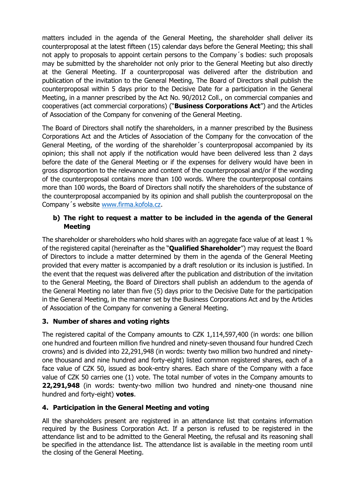matters included in the agenda of the General Meeting, the shareholder shall deliver its counterproposal at the latest fifteen (15) calendar days before the General Meeting; this shall not apply to proposals to appoint certain persons to the Company´s bodies: such proposals may be submitted by the shareholder not only prior to the General Meeting but also directly at the General Meeting. If a counterproposal was delivered after the distribution and publication of the invitation to the General Meeting, The Board of Directors shall publish the counterproposal within 5 days prior to the Decisive Date for a participation in the General Meeting, in a manner prescribed by the Act No. 90/2012 Coll., on commercial companies and cooperatives (act commercial corporations) ("**Business Corporations Act**") and the Articles of Association of the Company for convening of the General Meeting.

The Board of Directors shall notify the shareholders, in a manner prescribed by the Business Corporations Act and the Articles of Association of the Company for the convocation of the General Meeting, of the wording of the shareholder´s counterproposal accompanied by its opinion; this shall not apply if the notification would have been delivered less than 2 days before the date of the General Meeting or if the expenses for delivery would have been in gross disproportion to the relevance and content of the counterproposal and/or if the wording of the counterproposal contains more than 100 words. Where the counterproposal contains more than 100 words, the Board of Directors shall notify the shareholders of the substance of the counterproposal accompanied by its opinion and shall publish the counterproposal on the Company´s website [www.firma.kofola.cz.](http://www.firma.kofola.cz/)

# **b) The right to request a matter to be included in the agenda of the General Meeting**

The shareholder or shareholders who hold shares with an aggregate face value of at least 1 % of the registered capital (hereinafter as the "**Qualified Shareholder**") may request the Board of Directors to include a matter determined by them in the agenda of the General Meeting provided that every matter is accompanied by a draft resolution or its inclusion is justified. In the event that the request was delivered after the publication and distribution of the invitation to the General Meeting, the Board of Directors shall publish an addendum to the agenda of the General Meeting no later than five (5) days prior to the Decisive Date for the participation in the General Meeting, in the manner set by the Business Corporations Act and by the Articles of Association of the Company for convening a General Meeting.

# **3. Number of shares and voting rights**

The registered capital of the Company amounts to CZK 1,114,597,400 (in words: one billion one hundred and fourteen million five hundred and ninety-seven thousand four hundred Czech crowns) and is divided into 22,291,948 (in words: twenty two million two hundred and ninetyone thousand and nine hundred and forty-eight) listed common registered shares, each of a face value of CZK 50, issued as book-entry shares. Each share of the Company with a face value of CZK 50 carries one (1) vote. The total number of votes in the Company amounts to **22,291,948** (in words: twenty-two million two hundred and ninety-one thousand nine hundred and forty-eight) **votes**.

# **4. Participation in the General Meeting and voting**

All the shareholders present are registered in an attendance list that contains information required by the Business Corporation Act. If a person is refused to be registered in the attendance list and to be admitted to the General Meeting, the refusal and its reasoning shall be specified in the attendance list. The attendance list is available in the meeting room until the closing of the General Meeting.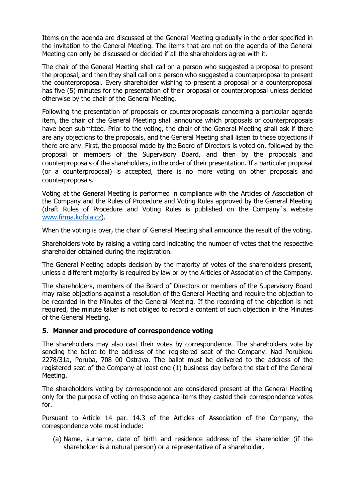Items on the agenda are discussed at the General Meeting gradually in the order specified in the invitation to the General Meeting. The items that are not on the agenda of the General Meeting can only be discussed or decided if all the shareholders agree with it.

The chair of the General Meeting shall call on a person who suggested a proposal to present the proposal, and then they shall call on a person who suggested a counterproposal to present the counterproposal. Every shareholder wishing to present a proposal or a counterproposal has five (5) minutes for the presentation of their proposal or counterproposal unless decided otherwise by the chair of the General Meeting.

Following the presentation of proposals or counterproposals concerning a particular agenda item, the chair of the General Meeting shall announce which proposals or counterproposals have been submitted. Prior to the voting, the chair of the General Meeting shall ask if there are any objections to the proposals, and the General Meeting shall listen to these objections if there are any. First, the proposal made by the Board of Directors is voted on, followed by the proposal of members of the Supervisory Board, and then by the proposals and counterproposals of the shareholders, in the order of their presentation. If a particular proposal (or a counterproposal) is accepted, there is no more voting on other proposals and counterproposals.

Voting at the General Meeting is performed in compliance with the Articles of Association of the Company and the Rules of Procedure and Voting Rules approved by the General Meeting (draft Rules of Procedure and Voting Rules is published on the Company´s website [www.firma.kofola.cz\)](http://www.firma.kofola.cz/).

When the voting is over, the chair of General Meeting shall announce the result of the voting.

Shareholders vote by raising a voting card indicating the number of votes that the respective shareholder obtained during the registration.

The General Meeting adopts decision by the majority of votes of the shareholders present, unless a different majority is required by law or by the Articles of Association of the Company.

The shareholders, members of the Board of Directors or members of the Supervisory Board may raise objections against a resolution of the General Meeting and require the objection to be recorded in the Minutes of the General Meeting. If the recording of the objection is not required, the minute taker is not obliged to record a content of such objection in the Minutes of the General Meeting.

### **5. Manner and procedure of correspondence voting**

The shareholders may also cast their votes by correspondence. The shareholders vote by sending the ballot to the address of the registered seat of the Company: Nad Porubkou 2278/31a, Poruba, 708 00 Ostrava. The ballot must be delivered to the address of the registered seat of the Company at least one (1) business day before the start of the General Meeting.

The shareholders voting by correspondence are considered present at the General Meeting only for the purpose of voting on those agenda items they casted their correspondence votes for.

Pursuant to Article 14 par. 14.3 of the Articles of Association of the Company, the correspondence vote must include:

(a) Name, surname, date of birth and residence address of the shareholder (if the shareholder is a natural person) or a representative of a shareholder,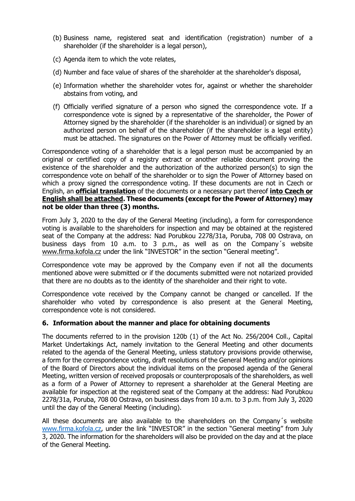- (b) Business name, registered seat and identification (registration) number of a shareholder (if the shareholder is a legal person),
- (c) Agenda item to which the vote relates,
- (d) Number and face value of shares of the shareholder at the shareholder's disposal,
- (e) Information whether the shareholder votes for, against or whether the shareholder abstains from voting, and
- (f) Officially verified signature of a person who signed the correspondence vote. If a correspondence vote is signed by a representative of the shareholder, the Power of Attorney signed by the shareholder (if the shareholder is an individual) or signed by an authorized person on behalf of the shareholder (if the shareholder is a legal entity) must be attached. The signatures on the Power of Attorney must be officially verified.

Correspondence voting of a shareholder that is a legal person must be accompanied by an original or certified copy of a registry extract or another reliable document proving the existence of the shareholder and the authorization of the authorized person(s) to sign the correspondence vote on behalf of the shareholder or to sign the Power of Attorney based on which a proxy signed the correspondence voting. If these documents are not in Czech or English, an **official translation** of the documents or a necessary part thereof **into Czech or English shall be attached. These documents (except for the Power of Attorney) may not be older than three (3) months.**

From July 3, 2020 to the day of the General Meeting (including), a form for correspondence voting is available to the shareholders for inspection and may be obtained at the registered seat of the Company at the address: Nad Porubkou 2278/31a, Poruba, 708 00 Ostrava, on business days from 10 a.m. to 3 p.m., as well as on the Company´s website [www.firma.kofola.cz](http://www.firma.kofola.cz/) under the link "INVESTOR" in the section "General meeting".

Correspondence vote may be approved by the Company even if not all the documents mentioned above were submitted or if the documents submitted were not notarized provided that there are no doubts as to the identity of the shareholder and their right to vote.

Correspondence vote received by the Company cannot be changed or cancelled. If the shareholder who voted by correspondence is also present at the General Meeting, correspondence vote is not considered.

#### **6. Information about the manner and place for obtaining documents**

The documents referred to in the provision 120b (1) of the Act No. 256/2004 Coll., Capital Market Undertakings Act, namely invitation to the General Meeting and other documents related to the agenda of the General Meeting, unless statutory provisions provide otherwise, a form for the correspondence voting, draft resolutions of the General Meeting and/or opinions of the Board of Directors about the individual items on the proposed agenda of the General Meeting, written version of received proposals or counterproposals of the shareholders, as well as a form of a Power of Attorney to represent a shareholder at the General Meeting are available for inspection at the registered seat of the Company at the address: Nad Porubkou 2278/31a, Poruba, 708 00 Ostrava, on business days from 10 a.m. to 3 p.m. from July 3, 2020 until the day of the General Meeting (including).

All these documents are also available to the shareholders on the Company´s website [www.firma.kofola.cz,](http://www.firma.kofola.cz/) under the link "INVESTOR" in the section "General meeting" from July 3, 2020. The information for the shareholders will also be provided on the day and at the place of the General Meeting.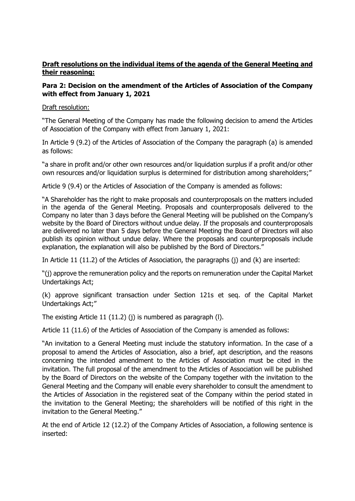### **Draft resolutions on the individual items of the agenda of the General Meeting and their reasoning:**

### **Para 2: Decision on the amendment of the Articles of Association of the Company with effect from January 1, 2021**

Draft resolution:

"The General Meeting of the Company has made the following decision to amend the Articles of Association of the Company with effect from January 1, 2021:

In Article 9 (9.2) of the Articles of Association of the Company the paragraph (a) is amended as follows:

"a share in profit and/or other own resources and/or liquidation surplus if a profit and/or other own resources and/or liquidation surplus is determined for distribution among shareholders;"

Article 9 (9.4) or the Articles of Association of the Company is amended as follows:

"A Shareholder has the right to make proposals and counterproposals on the matters included in the agenda of the General Meeting. Proposals and counterproposals delivered to the Company no later than 3 days before the General Meeting will be published on the Company's website by the Board of Directors without undue delay. If the proposals and counterproposals are delivered no later than 5 days before the General Meeting the Board of Directors will also publish its opinion without undue delay. Where the proposals and counterproposals include explanation, the explanation will also be published by the Bord of Directors."

In Article 11 (11.2) of the Articles of Association, the paragraphs (j) and (k) are inserted:

"(j) approve the remuneration policy and the reports on remuneration under the Capital Market Undertakings Act;

(k) approve significant transaction under Section 121s et seq. of the Capital Market Undertakings Act;"

The existing Article 11 (11.2) (j) is numbered as paragraph (l).

Article 11 (11.6) of the Articles of Association of the Company is amended as follows:

"An invitation to a General Meeting must include the statutory information. In the case of a proposal to amend the Articles of Association, also a brief, apt description, and the reasons concerning the intended amendment to the Articles of Association must be cited in the invitation. The full proposal of the amendment to the Articles of Association will be published by the Board of Directors on the website of the Company together with the invitation to the General Meeting and the Company will enable every shareholder to consult the amendment to the Articles of Association in the registered seat of the Company within the period stated in the invitation to the General Meeting; the shareholders will be notified of this right in the invitation to the General Meeting."

At the end of Article 12 (12.2) of the Company Articles of Association, a following sentence is inserted: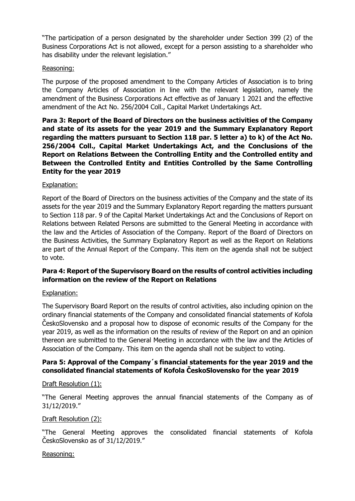"The participation of a person designated by the shareholder under Section 399 (2) of the Business Corporations Act is not allowed, except for a person assisting to a shareholder who has disability under the relevant legislation."

### Reasoning:

The purpose of the proposed amendment to the Company Articles of Association is to bring the Company Articles of Association in line with the relevant legislation, namely the amendment of the Business Corporations Act effective as of January 1 2021 and the effective amendment of the Act No. 256/2004 Coll., Capital Market Undertakings Act.

**Para 3: Report of the Board of Directors on the business activities of the Company and state of its assets for the year 2019 and the Summary Explanatory Report regarding the matters pursuant to Section 118 par. 5 letter a) to k) of the Act No. 256/2004 Coll., Capital Market Undertakings Act, and the Conclusions of the Report on Relations Between the Controlling Entity and the Controlled entity and Between the Controlled Entity and Entities Controlled by the Same Controlling Entity for the year 2019**

#### Explanation:

Report of the Board of Directors on the business activities of the Company and the state of its assets for the year 2019 and the Summary Explanatory Report regarding the matters pursuant to Section 118 par. 9 of the Capital Market Undertakings Act and the Conclusions of Report on Relations between Related Persons are submitted to the General Meeting in accordance with the law and the Articles of Association of the Company. Report of the Board of Directors on the Business Activities, the Summary Explanatory Report as well as the Report on Relations are part of the Annual Report of the Company. This item on the agenda shall not be subject to vote.

### **Para 4: Report of the Supervisory Board on the results of control activities including information on the review of the Report on Relations**

#### Explanation:

The Supervisory Board Report on the results of control activities, also including opinion on the ordinary financial statements of the Company and consolidated financial statements of Kofola ČeskoSlovensko and a proposal how to dispose of economic results of the Company for the year 2019, as well as the information on the results of review of the Report on and an opinion thereon are submitted to the General Meeting in accordance with the law and the Articles of Association of the Company. This item on the agenda shall not be subject to voting.

### **Para 5: Approval of the Company´s financial statements for the year 2019 and the consolidated financial statements of Kofola ČeskoSlovensko for the year 2019**

#### Draft Resolution (1):

"The General Meeting approves the annual financial statements of the Company as of 31/12/2019."

#### Draft Resolution (2):

"The General Meeting approves the consolidated financial statements of Kofola ČeskoSlovensko as of 31/12/2019."

#### Reasoning: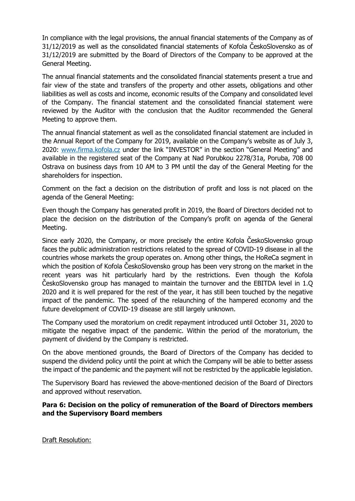In compliance with the legal provisions, the annual financial statements of the Company as of 31/12/2019 as well as the consolidated financial statements of Kofola ČeskoSlovensko as of 31/12/2019 are submitted by the Board of Directors of the Company to be approved at the General Meeting.

The annual financial statements and the consolidated financial statements present a true and fair view of the state and transfers of the property and other assets, obligations and other liabilities as well as costs and income, economic results of the Company and consolidated level of the Company. The financial statement and the consolidated financial statement were reviewed by the Auditor with the conclusion that the Auditor recommended the General Meeting to approve them.

The annual financial statement as well as the consolidated financial statement are included in the Annual Report of the Company for 2019, available on the Company's website as of July 3, 2020: [www.firma.kofola.cz](http://www.firma.kofola.cz/) under the link "INVESTOR" in the section "General Meeting" and available in the registered seat of the Company at Nad Porubkou 2278/31a, Poruba, 708 00 Ostrava on business days from 10 AM to 3 PM until the day of the General Meeting for the shareholders for inspection.

Comment on the fact a decision on the distribution of profit and loss is not placed on the agenda of the General Meeting:

Even though the Company has generated profit in 2019, the Board of Directors decided not to place the decision on the distribution of the Company's profit on agenda of the General Meeting.

Since early 2020, the Company, or more precisely the entire Kofola ČeskoSlovensko group faces the public administration restrictions related to the spread of COVID-19 disease in all the countries whose markets the group operates on. Among other things, the HoReCa segment in which the position of Kofola ČeskoSlovensko group has been very strong on the market in the recent years was hit particularly hard by the restrictions. Even though the Kofola ČeskoSlovensko group has managed to maintain the turnover and the EBITDA level in 1.Q 2020 and it is well prepared for the rest of the year, it has still been touched by the negative impact of the pandemic. The speed of the relaunching of the hampered economy and the future development of COVID-19 disease are still largely unknown.

The Company used the moratorium on credit repayment introduced until October 31, 2020 to mitigate the negative impact of the pandemic. Within the period of the moratorium, the payment of dividend by the Company is restricted.

On the above mentioned grounds, the Board of Directors of the Company has decided to suspend the dividend policy until the point at which the Company will be able to better assess the impact of the pandemic and the payment will not be restricted by the applicable legislation.

The Supervisory Board has reviewed the above-mentioned decision of the Board of Directors and approved without reservation.

### **Para 6: Decision on the policy of remuneration of the Board of Directors members and the Supervisory Board members**

Draft Resolution: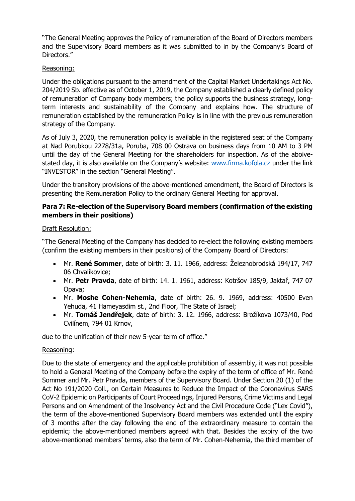"The General Meeting approves the Policy of remuneration of the Board of Directors members and the Supervisory Board members as it was submitted to in by the Company's Board of Directors."

### Reasoning:

Under the obligations pursuant to the amendment of the Capital Market Undertakings Act No. 204/2019 Sb. effective as of October 1, 2019, the Company established a clearly defined policy of remuneration of Company body members; the policy supports the business strategy, longterm interests and sustainability of the Company and explains how. The structure of remuneration established by the remuneration Policy is in line with the previous remuneration strategy of the Company.

As of July 3, 2020, the remuneration policy is available in the registered seat of the Company at Nad Porubkou 2278/31a, Poruba, 708 00 Ostrava on business days from 10 AM to 3 PM until the day of the General Meeting for the shareholders for inspection. As of the aboivestated day, it is also available on the Company's website: [www.firma.kofola.cz](http://www.firma.kofola.cz/) under the link "INVESTOR" in the section "General Meeting".

Under the transitory provisions of the above-mentioned amendment, the Board of Directors is presenting the Remuneration Policy to the ordinary General Meeting for approval.

### **Para 7: Re-election of the Supervisory Board members (confirmation of the existing members in their positions)**

### Draft Resolution:

"The General Meeting of the Company has decided to re-elect the following existing members (confirm the existing members in their positions) of the Company Board of Directors:

- Mr. **René Sommer**, date of birth: 3. 11. 1966, address: Železnobrodská 194/17, 747 06 Chvalíkovice;
- Mr. **Petr Pravda**, date of birth: 14. 1. 1961, address: Kotršov 185/9, Jaktař, 747 07 Opava;
- Mr. **Moshe Cohen-Nehemia**, date of birth: 26. 9. 1969, address: 40500 Even Yehuda, 41 Hameyasdim st., 2nd Floor, The State of Israel;
- Mr. **Tomáš Jendřejek**, date of birth: 3. 12. 1966, address: Brožíkova 1073/40, Pod Cvilínem, 794 01 Krnov,

due to the unification of their new 5-year term of office."

#### Reasoning:

Due to the state of emergency and the applicable prohibition of assembly, it was not possible to hold a General Meeting of the Company before the expiry of the term of office of Mr. René Sommer and Mr. Petr Pravda, members of the Supervisory Board. Under Section 20 (1) of the Act No 191/2020 Coll., on Certain Measures to Reduce the Impact of the Coronavirus SARS CoV-2 Epidemic on Participants of Court Proceedings, Injured Persons, Crime Victims and Legal Persons and on Amendment of the Insolvency Act and the Civil Procedure Code ("Lex Covid"), the term of the above-mentioned Supervisory Board members was extended until the expiry of 3 months after the day following the end of the extraordinary measure to contain the epidemic; the above-mentioned members agreed with that. Besides the expiry of the two above-mentioned members' terms, also the term of Mr. Cohen-Nehemia, the third member of